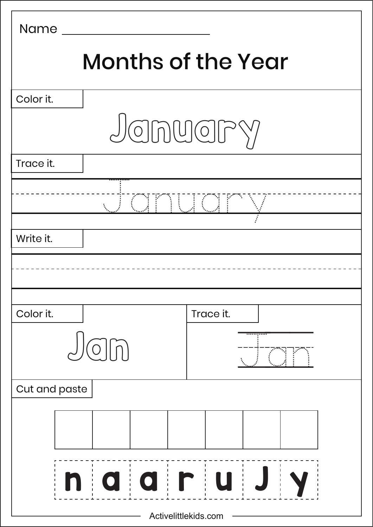| Name                 |                                                       |                                                                                                                          |  |  |
|----------------------|-------------------------------------------------------|--------------------------------------------------------------------------------------------------------------------------|--|--|
|                      | <b>Months of the Year</b>                             |                                                                                                                          |  |  |
| Color it.            |                                                       |                                                                                                                          |  |  |
|                      |                                                       | Jonuary                                                                                                                  |  |  |
| Trace it.            |                                                       |                                                                                                                          |  |  |
|                      | FOST P                                                | <b>ILLOT</b>                                                                                                             |  |  |
| Write it.            |                                                       |                                                                                                                          |  |  |
|                      |                                                       |                                                                                                                          |  |  |
| Color it.            |                                                       | Trace it.                                                                                                                |  |  |
|                      |                                                       | .                                                                                                                        |  |  |
| Cut and paste        |                                                       |                                                                                                                          |  |  |
|                      |                                                       |                                                                                                                          |  |  |
| n                    | alairlu<br>$\begin{array}{c} 1 \\ 1 \\ 1 \end{array}$ | $\mathbf{L}$<br>$\mathbf{I}$<br>$\begin{array}{c} 1 \\ 1 \\ 1 \end{array}$<br>$\begin{array}{c} 1 \\ 1 \\ 1 \end{array}$ |  |  |
| Activelittlekids.com |                                                       |                                                                                                                          |  |  |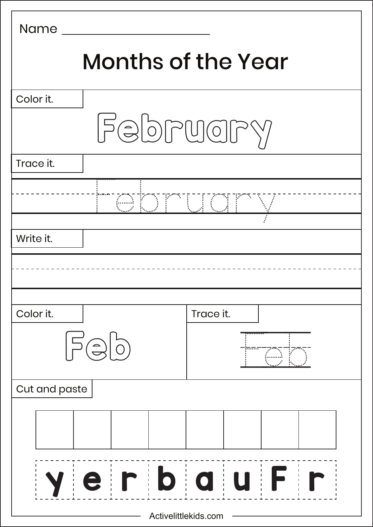| Name                      |                 |  |
|---------------------------|-----------------|--|
| <b>Months of the Year</b> |                 |  |
| Color it.                 |                 |  |
|                           | February        |  |
| Trace it.                 |                 |  |
|                           | <u>"COMUQDV</u> |  |
| Write it.                 |                 |  |
|                           |                 |  |
| Color it.                 | Trace it.       |  |
| $\overline{\phantom{a}}$  |                 |  |
| Cut and paste             |                 |  |
|                           |                 |  |
| $\frac{1}{1}$             | eirbauFi        |  |
| Activelittlekids.com      |                 |  |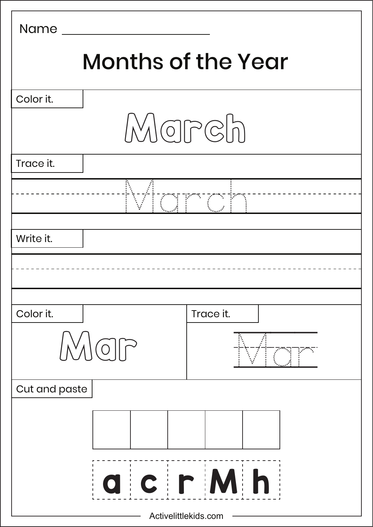| Name                 |                                            |           |  |
|----------------------|--------------------------------------------|-----------|--|
|                      | <b>Months of the Year</b>                  |           |  |
| Color it.            |                                            |           |  |
|                      | March                                      |           |  |
| Trace it.            |                                            |           |  |
|                      |                                            | an Pangka |  |
| Write it.            |                                            |           |  |
|                      |                                            |           |  |
| Color it.            |                                            | Trace it. |  |
|                      | $\overrightarrow{C}$                       |           |  |
| Cut and paste        |                                            |           |  |
|                      |                                            |           |  |
|                      | $\begin{array}{c} 1 \\ 1 \\ 1 \end{array}$ | acrMh     |  |
| Activelittlekids.com |                                            |           |  |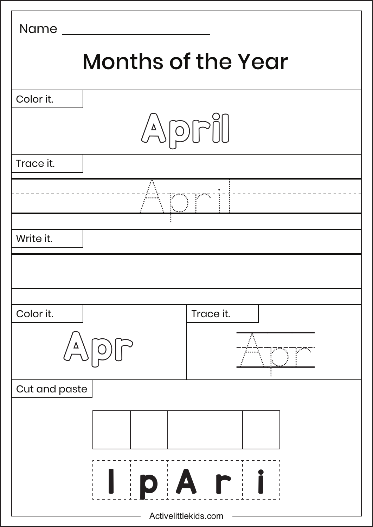| Name                 |                           |                        |  |  |
|----------------------|---------------------------|------------------------|--|--|
|                      | <b>Months of the Year</b> |                        |  |  |
| Color it.            |                           |                        |  |  |
|                      |                           |                        |  |  |
| Trace it.            |                           |                        |  |  |
|                      |                           | <b>TEST EXPERIENCE</b> |  |  |
| Write it.            |                           |                        |  |  |
|                      |                           |                        |  |  |
| Color it.            |                           | Trace it.              |  |  |
| $\pmb{\Delta}$       |                           |                        |  |  |
| Cut and paste        |                           |                        |  |  |
|                      |                           |                        |  |  |
|                      |                           | IpAri                  |  |  |
| Activelittlekids.com |                           |                        |  |  |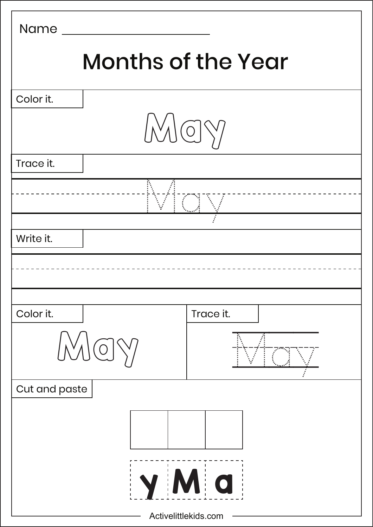| Name                      |           |  |
|---------------------------|-----------|--|
| <b>Months of the Year</b> |           |  |
| Color it.                 |           |  |
| MOY                       |           |  |
| Trace it.                 |           |  |
|                           |           |  |
| Write it.                 |           |  |
|                           |           |  |
| Color it.                 | Trace it. |  |
| $\sqrt{}$                 |           |  |
| Cut and paste             |           |  |
| y M a                     |           |  |
| Activelittlekids.com      |           |  |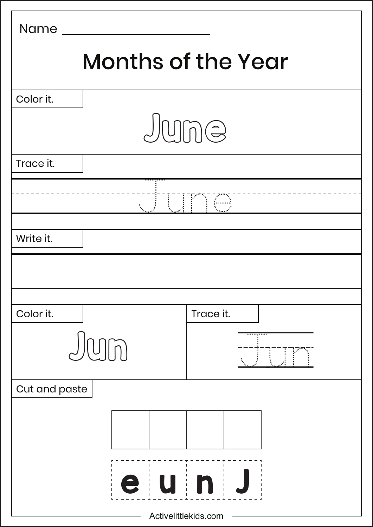| Name                      |                      |            |
|---------------------------|----------------------|------------|
| <b>Months of the Year</b> |                      |            |
| Color it.                 |                      |            |
|                           | June                 |            |
| Trace it.                 |                      |            |
|                           |                      | <b>Une</b> |
| Write it.                 |                      |            |
|                           |                      |            |
| Color it.                 |                      | Trace it.  |
|                           |                      |            |
| Cut and paste             |                      |            |
|                           |                      |            |
|                           |                      | eunJ       |
|                           | Activelittlekids.com |            |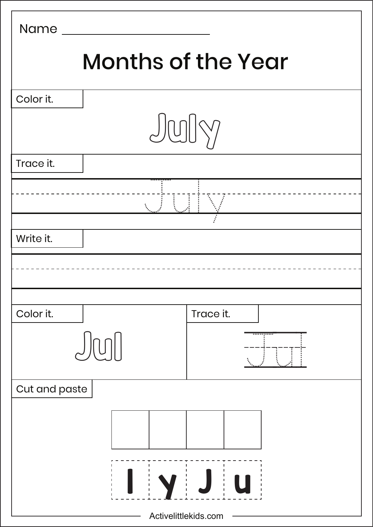| Name                 |                                                  |                                                            |  |
|----------------------|--------------------------------------------------|------------------------------------------------------------|--|
|                      | <b>Months of the Year</b>                        |                                                            |  |
| Color it.            |                                                  |                                                            |  |
|                      |                                                  | July                                                       |  |
| Trace it.            |                                                  |                                                            |  |
|                      |                                                  |                                                            |  |
| Write it.            |                                                  |                                                            |  |
|                      |                                                  |                                                            |  |
| Color it.            |                                                  | Trace it.                                                  |  |
|                      |                                                  | .                                                          |  |
| Cut and paste        |                                                  |                                                            |  |
|                      |                                                  |                                                            |  |
|                      | J.<br>$\begin{array}{c} 1 \\ 1 \\ 1 \end{array}$ | $\mathbf{L}$<br>$\begin{array}{c} 1 \\ 1 \\ 1 \end{array}$ |  |
| Activelittlekids.com |                                                  |                                                            |  |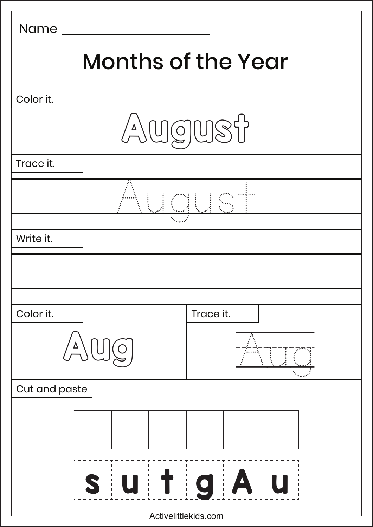| Name                 |                           |            |  |
|----------------------|---------------------------|------------|--|
|                      | <b>Months of the Year</b> |            |  |
| Color it.            |                           |            |  |
|                      | AUGUST                    |            |  |
| Trace it.            |                           |            |  |
|                      |                           |            |  |
| Write it.            |                           |            |  |
|                      |                           |            |  |
| Color it.            |                           | Trace it.  |  |
| $\pmb{\Delta}$       |                           |            |  |
| Cut and paste        |                           |            |  |
|                      |                           |            |  |
|                      | $\overline{U}$            | <b>TgA</b> |  |
| Activelittlekids.com |                           |            |  |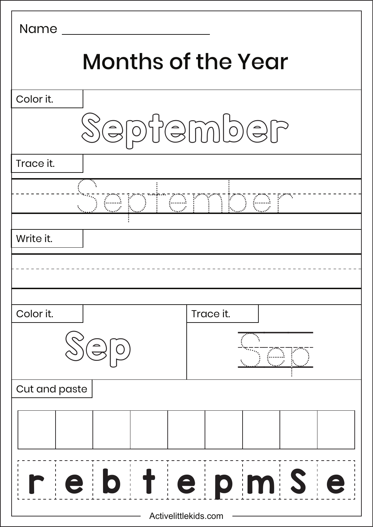| <b>Name</b>               |                      |  |
|---------------------------|----------------------|--|
| <b>Months of the Year</b> |                      |  |
| Color it.                 |                      |  |
|                           | September            |  |
| Trace it.                 |                      |  |
|                           | <u>Jepanes music</u> |  |
| Write it.                 |                      |  |
|                           |                      |  |
| Color it.                 | Trace it.            |  |
|                           |                      |  |
| Cut and paste             |                      |  |
|                           |                      |  |
|                           | ebtepmse             |  |
| Activelittlekids.com      |                      |  |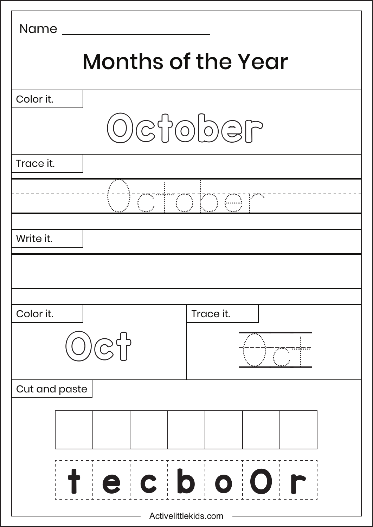| <b>Name</b>          |                                                                                    |  |  |
|----------------------|------------------------------------------------------------------------------------|--|--|
|                      | <b>Months of the Year</b>                                                          |  |  |
| Color it.            |                                                                                    |  |  |
|                      | $\bigcirc \mathcal{O} \otimes \mathcal{O} \otimes \mathcal{O} \otimes \mathcal{O}$ |  |  |
| Trace it.            |                                                                                    |  |  |
|                      |                                                                                    |  |  |
| Write it.            |                                                                                    |  |  |
|                      |                                                                                    |  |  |
| Color it.            | Trace it.                                                                          |  |  |
|                      |                                                                                    |  |  |
| Cut and paste        |                                                                                    |  |  |
|                      |                                                                                    |  |  |
|                      | tecboor                                                                            |  |  |
| Activelittlekids.com |                                                                                    |  |  |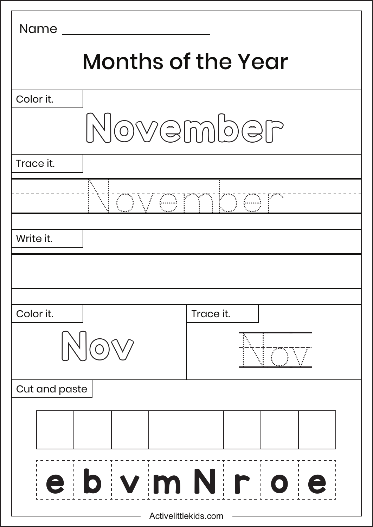| <b>Name</b>               |                    |  |
|---------------------------|--------------------|--|
| <b>Months of the Year</b> |                    |  |
| Color it.                 |                    |  |
|                           | November           |  |
| Trace it.                 |                    |  |
|                           | OVGMTI             |  |
| Write it.                 |                    |  |
|                           |                    |  |
| Color it.                 | Trace it.          |  |
|                           |                    |  |
| Cut and paste             |                    |  |
|                           |                    |  |
|                           | e b v m N r o<br>e |  |
| Activelittlekids.com      |                    |  |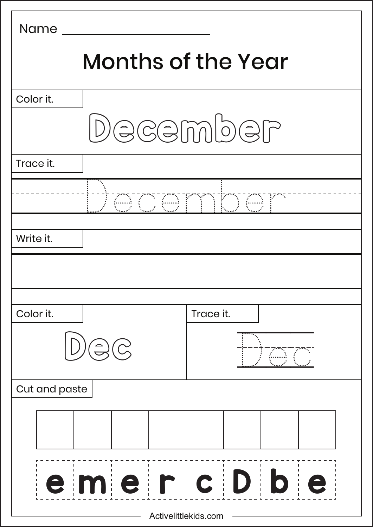| <b>Name</b>          |                           |                     |  |
|----------------------|---------------------------|---------------------|--|
|                      | <b>Months of the Year</b> |                     |  |
| Color it.            |                           |                     |  |
|                      |                           | December            |  |
| Trace it.            |                           |                     |  |
|                      |                           | <u> I OCOMMO CI</u> |  |
| Write it.            |                           |                     |  |
|                      |                           |                     |  |
| Color it.            |                           | Trace it.           |  |
|                      |                           |                     |  |
| Cut and paste        |                           |                     |  |
|                      |                           |                     |  |
|                      |                           | emercDbe            |  |
| Activelittlekids.com |                           |                     |  |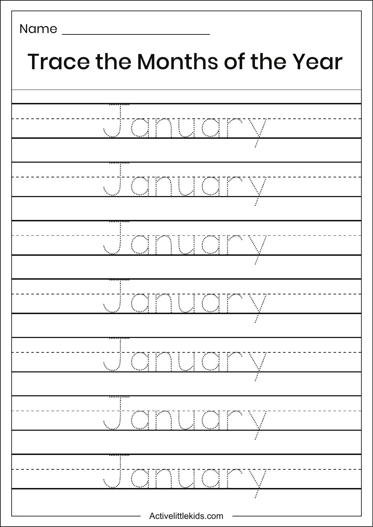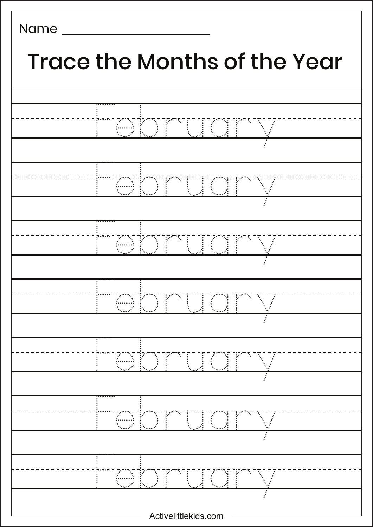| <b>Trace the Months of the Year</b>          |  |  |
|----------------------------------------------|--|--|
|                                              |  |  |
| 64F                                          |  |  |
| 64F<br>$\frac{1}{2}$                         |  |  |
|                                              |  |  |
| <b>JERSEY</b><br><u>{</u> }<br>$\frac{1}{2}$ |  |  |
|                                              |  |  |
| ÷                                            |  |  |
|                                              |  |  |
|                                              |  |  |
|                                              |  |  |
|                                              |  |  |
| Activelittlekids.com                         |  |  |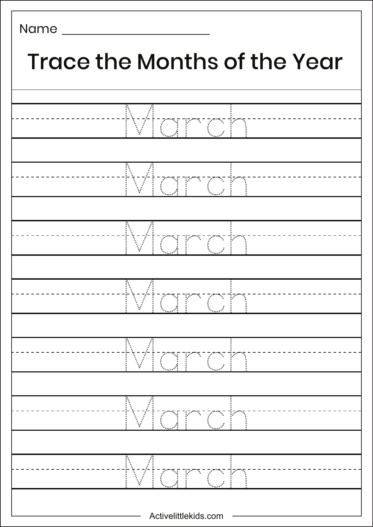## Activelittlekids.com Name  $\sqrt{\frac{1}{2}}$ March Arrow March March March March Trace the Months of the Year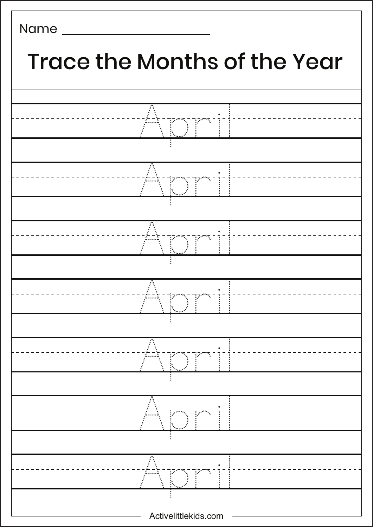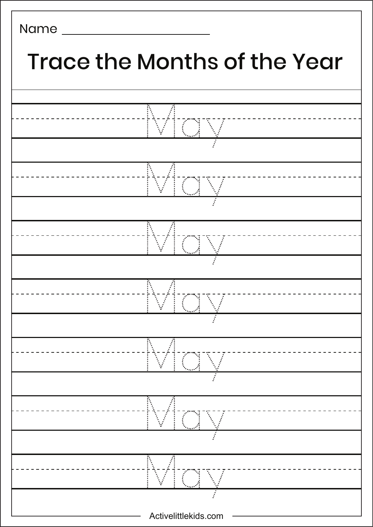

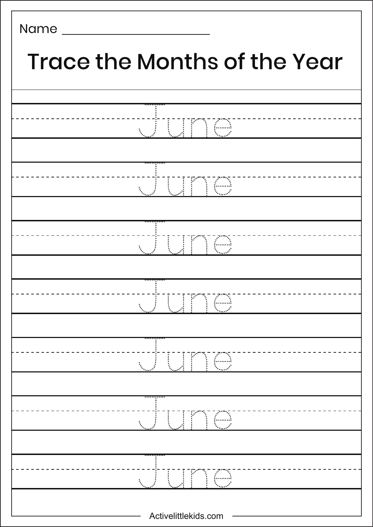| <b>Trace the Months of the Year</b> |  |
|-------------------------------------|--|
|                                     |  |
| <b>UUNG BEERING</b>                 |  |
|                                     |  |
| <b>WUMWWW</b>                       |  |
|                                     |  |
| UUNG                                |  |
|                                     |  |
|                                     |  |
|                                     |  |
|                                     |  |
|                                     |  |
| ١.                                  |  |
|                                     |  |
|                                     |  |
| Activelittlekids.com                |  |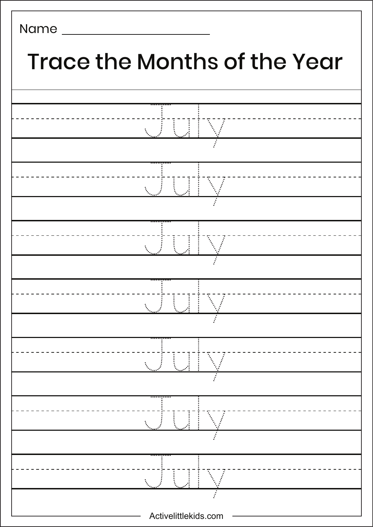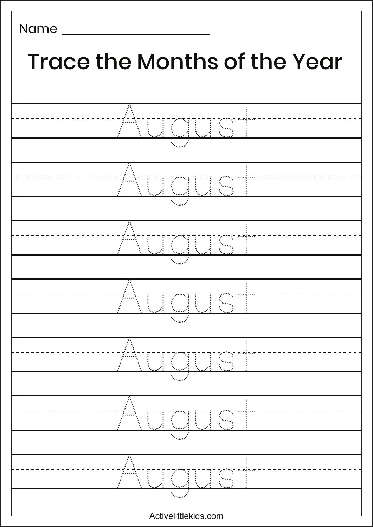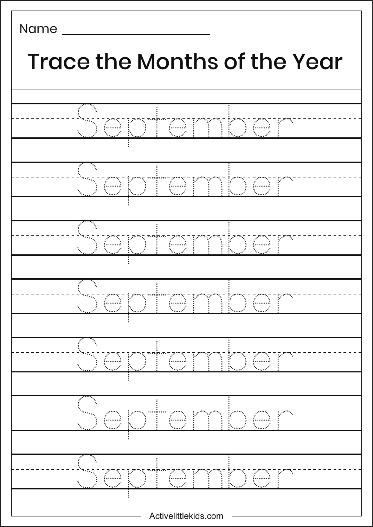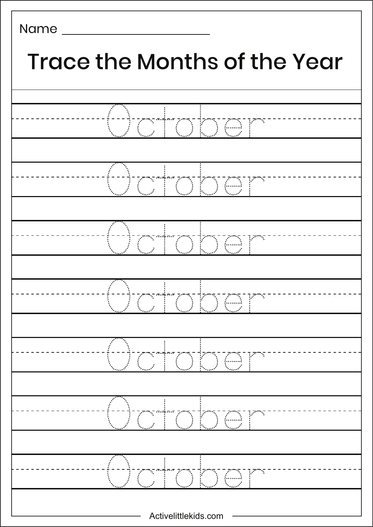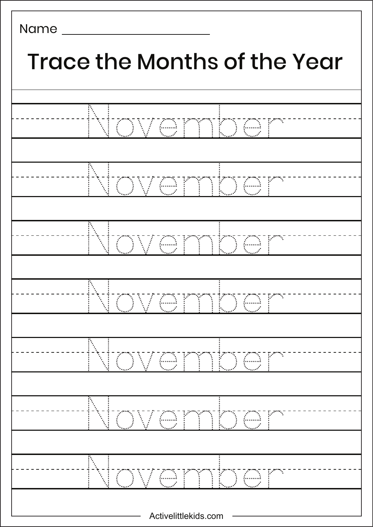| <b>Trace the Months of the Year</b> |  |  |
|-------------------------------------|--|--|
|                                     |  |  |
| Még.<br>HK<br>{ <sub>{----</sub> }  |  |  |
|                                     |  |  |
| j                                   |  |  |
|                                     |  |  |
| $\mathbb{R}$                        |  |  |
|                                     |  |  |
|                                     |  |  |
|                                     |  |  |
|                                     |  |  |
|                                     |  |  |
|                                     |  |  |
|                                     |  |  |
|                                     |  |  |
|                                     |  |  |
|                                     |  |  |
| Activelittlekids.com                |  |  |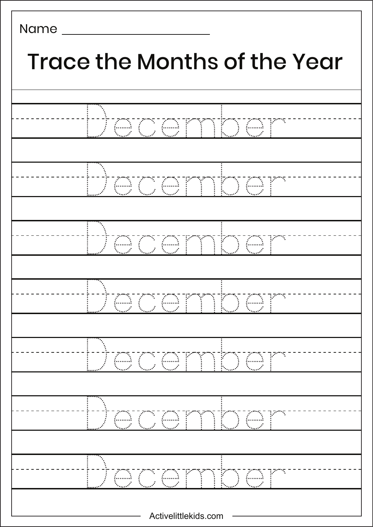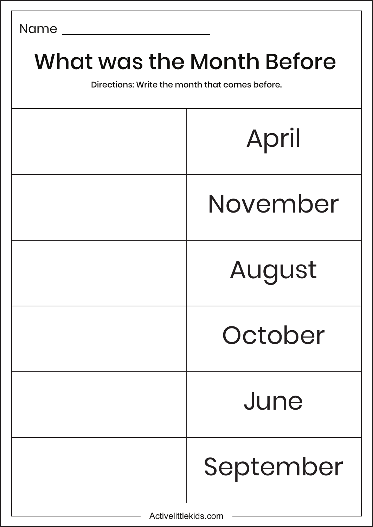## What was the Month Before

Directions: Write the month that comes before.

|                      | April     |
|----------------------|-----------|
|                      | November  |
|                      | August    |
|                      | October   |
| June                 |           |
|                      | September |
| Activelittlekids.com |           |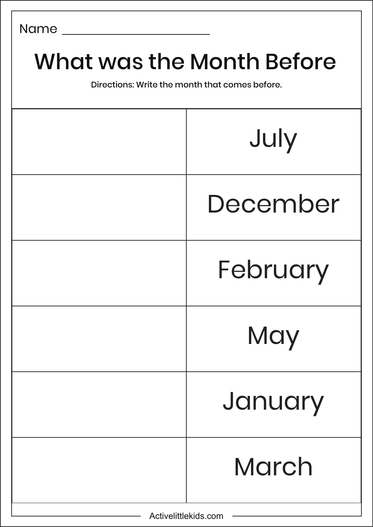## What was the Month Before

Directions: Write the month that comes before.

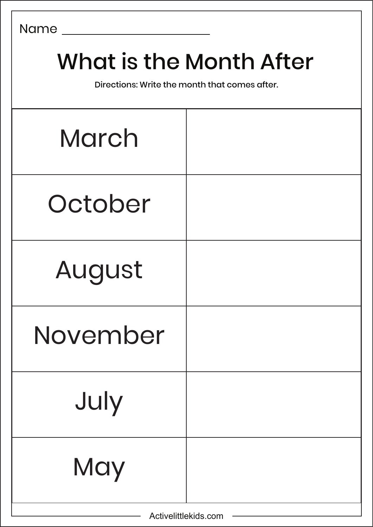## What is the Month After

Directions: Write the month that comes after.

| March    |  |
|----------|--|
| October  |  |
| August   |  |
| November |  |
| July     |  |
| May      |  |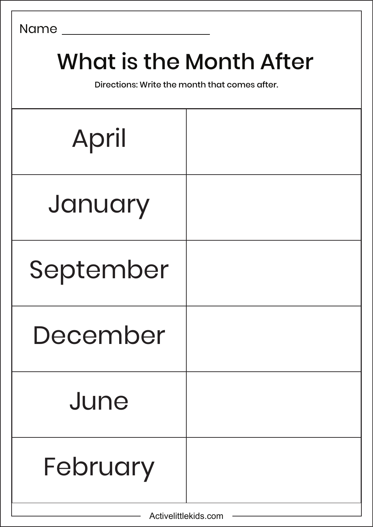## What is the Month After

Directions: Write the month that comes after.

| April     |  |
|-----------|--|
| January   |  |
| September |  |
| December  |  |
| June      |  |
| February  |  |

Activelittlekids.com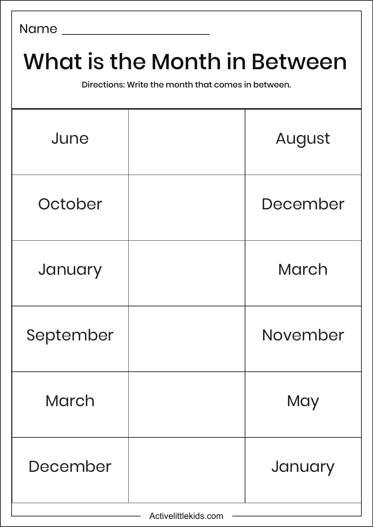# What is the Month in Between Directions: Write the month that comes in between. June | August October I December January | March September | November March | May December | January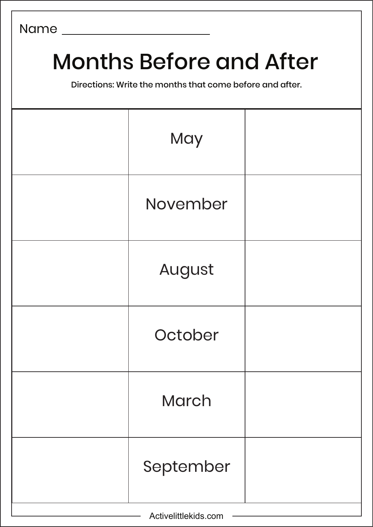## Months Before and After

Directions: Write the months that come before and after.

|                      | May          |  |
|----------------------|--------------|--|
|                      | November     |  |
|                      | August       |  |
|                      | October      |  |
|                      | <b>March</b> |  |
|                      | September    |  |
| Activelittlekids.com |              |  |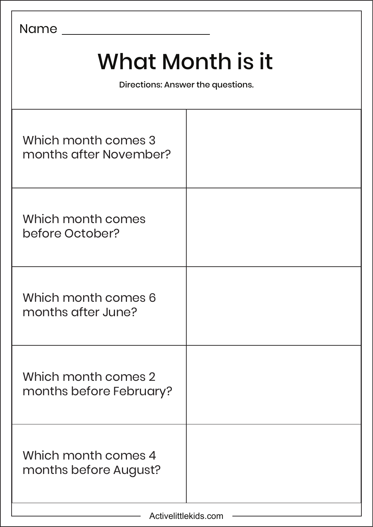| <b>Name</b>                                           |  |
|-------------------------------------------------------|--|
| What Month is it<br>Directions: Answer the questions. |  |
| Which month comes 3<br>months after November?         |  |
| Which month comes<br>before October?                  |  |
| Which month comes 6<br>months after June?             |  |
| Which month comes 2<br>months before February?        |  |
| Which month comes 4<br>months before August?          |  |

 $\overline{1}$ 

Ĕ.

 $\overline{\phantom{0}}$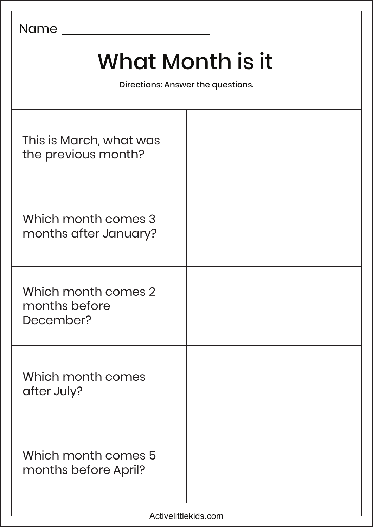| Name                                                  |  |  |
|-------------------------------------------------------|--|--|
| What Month is it<br>Directions: Answer the questions. |  |  |
| This is March, what was<br>the previous month?        |  |  |
| Which month comes 3<br>months after January?          |  |  |
| Which month comes 2<br>months before<br>December?     |  |  |
| Which month comes<br>after July?                      |  |  |
| Which month comes 5<br>months before April?           |  |  |

٦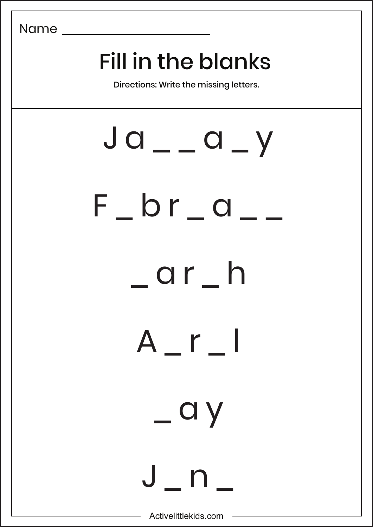## Fill in the blanks

Directions: Write the missing letters.

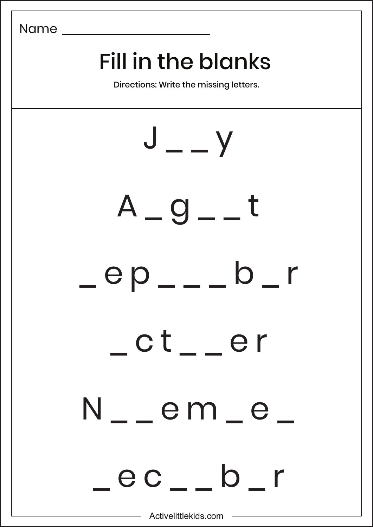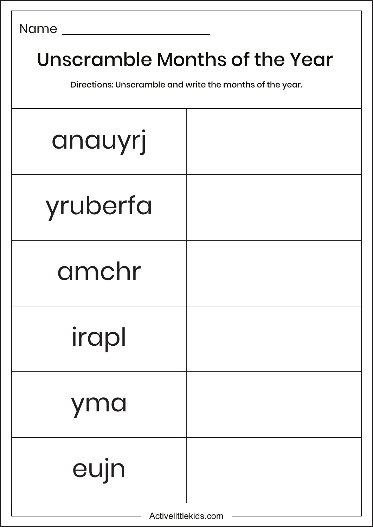| <b>Name</b>                                                                               |  |
|-------------------------------------------------------------------------------------------|--|
| Unscramble Months of the Year<br>Directions: Unscramble and write the months of the year. |  |
| anauyrj                                                                                   |  |
| yruberfa                                                                                  |  |
| amchr                                                                                     |  |
| irapl                                                                                     |  |
| yma                                                                                       |  |
| eujn                                                                                      |  |

 $\overline{\phantom{0}}$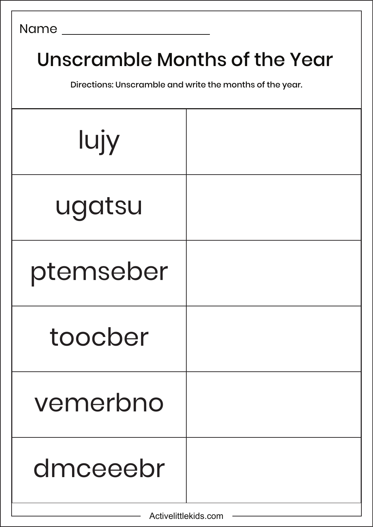| <b>Name</b> |  |
|-------------|--|
|-------------|--|

## Unscramble Months of the Year

Directions: Unscramble and write the months of the year.

| lujy      |  |
|-----------|--|
| ugatsu    |  |
| ptemseber |  |
| toocber   |  |
| vemerbno  |  |
| dmceeebr  |  |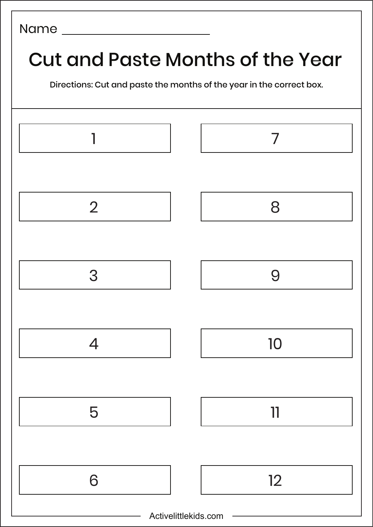## Name Cut and Paste Months of the Year Directions: Cut and paste the months of the year in the correct box.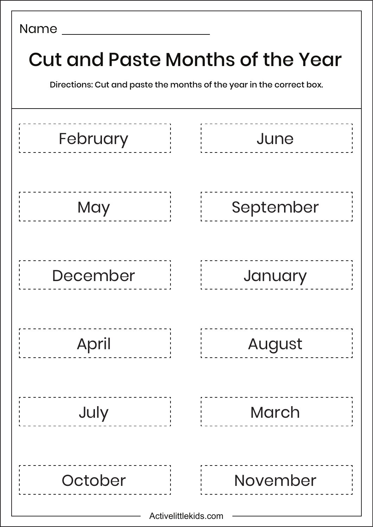| <b>Cut and Paste Months of the Year</b><br>Directions: Cut and paste the months of the year in the correct box. |                      |  |           |  |  |  |  |  |
|-----------------------------------------------------------------------------------------------------------------|----------------------|--|-----------|--|--|--|--|--|
| February                                                                                                        |                      |  | June      |  |  |  |  |  |
| May                                                                                                             |                      |  | September |  |  |  |  |  |
| December                                                                                                        |                      |  | January   |  |  |  |  |  |
| April                                                                                                           |                      |  | August    |  |  |  |  |  |
| July                                                                                                            |                      |  | March     |  |  |  |  |  |
| October                                                                                                         | Activelittlekids.com |  | November  |  |  |  |  |  |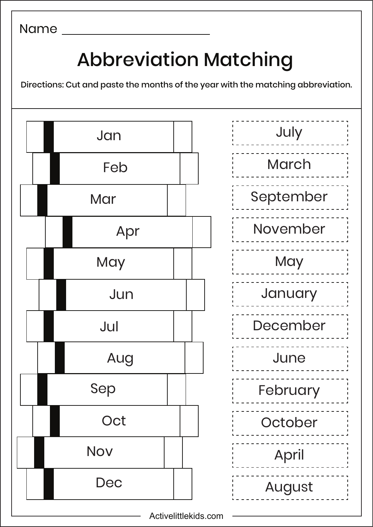## Abbreviation Matching

Directions: Cut and paste the months of the year with the matching abbreviation.





Activelittlekids.com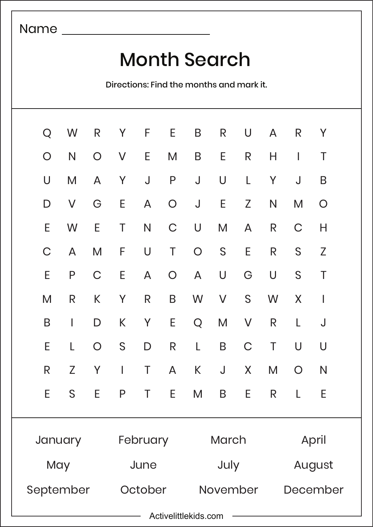### Month Search

Directions: Find the months and mark it.

|                      | Q W          |                |               |         |                |              |              | R Y F E B R U | $\overline{A}$ | R Y          |                |
|----------------------|--------------|----------------|---------------|---------|----------------|--------------|--------------|---------------|----------------|--------------|----------------|
| $\bigcirc$           | N            |                |               | O V E   | M <sub>1</sub> |              | B E          | $\mathsf{R}$  | $H_{\perp}$    | $\mathbf{1}$ | T              |
| U                    | M            |                | A Y           |         |                |              |              | J P J U L     | Y I            | $\mathsf{J}$ | B              |
| D                    | $\vee$       |                | G E           |         |                | A O J E      |              | Z             | N              | M            | $\overline{O}$ |
| E.                   | W            | E.             | $\mathsf{T}$  |         |                | N C U M      |              | $\mathsf{A}$  | R              | $\mathsf C$  | H              |
| C                    | $\mathsf{A}$ | M              |               | F U T   |                |              | $O_S$        | E             | R              | S            | Z              |
| E.                   | P            |                | $C$ $E$       |         |                | A O A U      |              | G U           |                | S            | $\top$         |
| M                    | R            | K              | $\mathsf{Y}$  | R       |                |              |              | B W V S       | W              | X            | $\sim$         |
| B                    | $\mathbf{L}$ | $\mathsf{D}$   |               |         |                |              |              | K Y E Q M V   | R              | $\mathsf{L}$ | J              |
| E.                   | $\mathsf{L}$ | $\overline{O}$ | S             | D       |                | R L          | $\mathsf{B}$ |               | C T            | U            | <b>U</b>       |
| R                    | Z            | Y              | and the state |         |                | T A K J      |              | X             | M              | $\bigcirc$   | N              |
| E.                   | S            | E              | P             |         | E              | M            | B            | Ε             | R.             |              | Е              |
| January              |              |                | February      |         |                | <b>March</b> |              |               | April          |              |                |
| May                  |              | June           |               |         | July           |              |              | August        |                |              |                |
| September            |              |                |               | October |                | November     |              | December      |                |              |                |
| Activelittlekids.com |              |                |               |         |                |              |              |               |                |              |                |